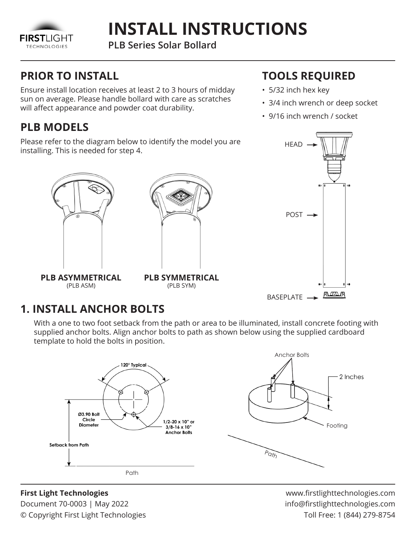

# **INSTALL INSTRUCTIONS**

**PLB Series Solar Bollard**

## **PRIOR TO INSTALL**

Ensure install location receives at least 2 to 3 hours of midday sun on average. Please handle bollard with care as scratches will affect appearance and powder coat durability.

## **PLB MODELS**

Please refer to the diagram below to identify the model you are installing. This is needed for step 4.





(PLB ASM)

**PLB SYMMETRICAL** (PLB SYM)

# **TOOLS REQUIRED**

- 5/32 inch hex key
- 3/4 inch wrench or deep socket
- 9/16 inch wrench / socket



## **1. INSTALL ANCHOR BOLTS**

With a one to two foot setback from the path or area to be illuminated, install concrete footing with supplied anchor bolts. Align anchor bolts to path as shown below using the supplied cardboard template to hold the bolts in position.



#### **First Light Technologies**

Document 70-0003 | May 2022 © Copyright First Light Technologies

www.firstlighttechnologies.com info@firstlighttechnologies.com Toll Free: 1 (844) 279-8754